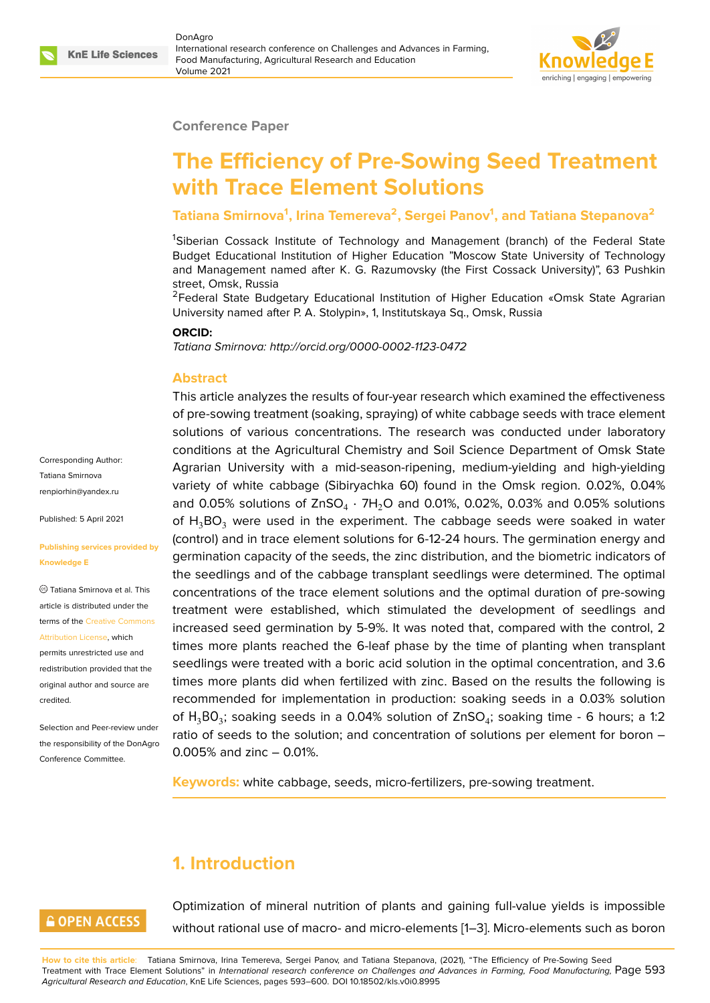

#### **Conference Paper**

# **The Efficiency of Pre-Sowing Seed Treatment with Trace Element Solutions**

### **Tatiana Smirnova<sup>1</sup> , Irina Temereva<sup>2</sup> , Sergei Panov<sup>1</sup> , and Tatiana Stepanova<sup>2</sup>**

<sup>1</sup>Siberian Cossack Institute of Technology and Management (branch) of the Federal State Budget Educational Institution of Higher Education "Moscow State University of Technology and Management named after K. G. Razumovsky (the First Cossack University)", 63 Pushkin street, Omsk, Russia

<sup>2</sup>Federal State Budgetary Educational Institution of Higher Education «Omsk State Agrarian University named after P. A. Stolypin», 1, Institutskaya Sq., Omsk, Russia

#### **ORCID:**

*Tatiana Smirnova: http://orcid.org/0000-0002-1123-0472*

#### **Abstract**

This article analyzes the results of four-year research which examined the effectiveness of pre-sowing treatment (soaking, spraying) of white cabbage seeds with trace element solutions of various concentrations. The research was conducted under laboratory conditions at the Agricultural Chemistry and Soil Science Department of Omsk State Agrarian University with a mid-season-ripening, medium-yielding and high-yielding variety of white cabbage (Sibiryachka 60) found in the Omsk region. 0.02%, 0.04% and 0.05% solutions of ZnSO $_4\cdot$  7H $_2$ O and 0.01%, 0.02%, 0.03% and 0.05% solutions of  $H_3BO_3$  were used in the experiment. The cabbage seeds were soaked in water (control) and in trace element solutions for 6-12-24 hours. The germination energy and germination capacity of the seeds, the zinc distribution, and the biometric indicators of the seedlings and of the cabbage transplant seedlings were determined. The optimal concentrations of the trace element solutions and the optimal duration of pre-sowing treatment were established, which stimulated the development of seedlings and increased seed germination by 5-9%. It was noted that, compared with the control, 2 times more plants reached the 6-leaf phase by the time of planting when transplant seedlings were treated with a boric acid solution in the optimal concentration, and 3.6 times more plants did when fertilized with zinc. Based on the results the following is recommended for implementation in production: soaking seeds in a 0.03% solution of  ${\sf H_3BO_3}$ ; soaking seeds in a 0.04% solution of ZnSO $_4$ ; soaking time - 6 hours; a 1:2 ratio of seeds to the solution; and concentration of solutions per element for boron – 0.005% and zinc – 0.01%.

**Keywords:** white cabbage, seeds, micro-fertilizers, pre-sowing treatment.

# **1. Introduction**

### **GOPEN ACCESS**

Optimization of mineral nutrition of plants and gaining full-value yields is impossible without rational use of macro- and micro-elements [1–3]. Micro-elements such as boron

**How to cite this article**: Tatiana Smirnova, Irina Temereva, Sergei Panov, and Tatiana Stepanova, (2021), "The Efficiency of Pre-Sowing Seed Treatment with Trace Element Solutions" in *International research conference on Challenges and Advances in Farming, Food Manufacturing,* Page 593 *Agricultural Research and Education*, KnE Life Sciences, pages 593–600. DOI 10.18502/kls.v0i0.8995

Corresponding Author: Tatiana Smirnova renpiorhin@yandex.ru

Published: 5 April 2021

#### **[Publishing services pr](mailto:renpiorhin@yandex.ru)ovided by Knowledge E**

Tatiana Smirnova et al. This article is distributed under the terms of the Creative Commons Attribution License, which

permits unrestricted use and redistribution provided that the original auth[or and source are](https://creativecommons.org/licenses/by/4.0/) [credited.](https://creativecommons.org/licenses/by/4.0/)

Selection and Peer-review under the responsibility of the DonAgro Conference Committee.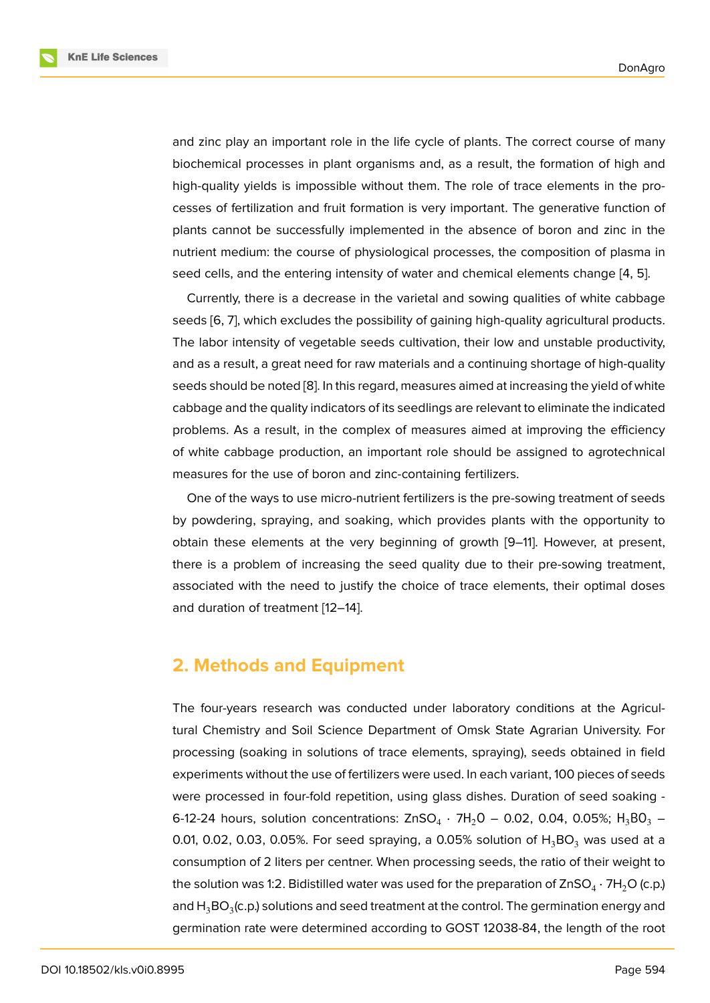and zinc play an important role in the life cycle of plants. The correct course of many biochemical processes in plant organisms and, as a result, the formation of high and high-quality yields is impossible without them. The role of trace elements in the processes of fertilization and fruit formation is very important. The generative function of plants cannot be successfully implemented in the absence of boron and zinc in the nutrient medium: the course of physiological processes, the composition of plasma in seed cells, and the entering intensity of water and chemical elements change [4, 5].

Currently, there is a decrease in the varietal and sowing qualities of white cabbage seeds [6, 7], which excludes the possibility of gaining high-quality agricultural products. The labor intensity of vegetable seeds cultivation, their low and unstable pro[du](#page-6-0)[ctiv](#page-6-1)ity, and as a result, a great need for raw materials and a continuing shortage of high-quality seeds [sh](#page-6-2)[ou](#page-6-3)ld be noted [8]. In this regard, measures aimed at increasing the yield of white cabbage and the quality indicators of its seedlings are relevant to eliminate the indicated problems. As a result, in the complex of measures aimed at improving the efficiency of white cabbage prod[uc](#page-7-0)tion, an important role should be assigned to agrotechnical measures for the use of boron and zinc-containing fertilizers.

One of the ways to use micro-nutrient fertilizers is the pre-sowing treatment of seeds by powdering, spraying, and soaking, which provides plants with the opportunity to obtain these elements at the very beginning of growth [9–11]. However, at present, there is a problem of increasing the seed quality due to their pre-sowing treatment, associated with the need to justify the choice of trace elements, their optimal doses and duration of treatment [12–14].

### **2. Methods and E[qu](#page-7-1)[ip](#page-7-2)ment**

The four-years research was conducted under laboratory conditions at the Agricultural Chemistry and Soil Science Department of Omsk State Agrarian University. For processing (soaking in solutions of trace elements, spraying), seeds obtained in field experiments without the use of fertilizers were used. In each variant, 100 pieces of seeds were processed in four-fold repetition, using glass dishes. Duration of seed soaking - 6-12-24 hours, solution concentrations: ZnSO $_4$  · 7H $_2$ O – 0.02, 0.04, 0.05%; H $_3$ BO $_3$  – 0.01, 0.02, 0.03, 0.05%. For seed spraying, a 0.05% solution of  $H_3BO_3$  was used at a consumption of 2 liters per centner. When processing seeds, the ratio of their weight to the solution was 1:2. Bidistilled water was used for the preparation of ZnSO $_4$   $\cdot$  7H $_2$ O (c.p.) and  ${\sf H_3BO_3}$ (c.p.) solutions and seed treatment at the control. The germination energy and germination rate were determined according to GOST 12038-84, the length of the root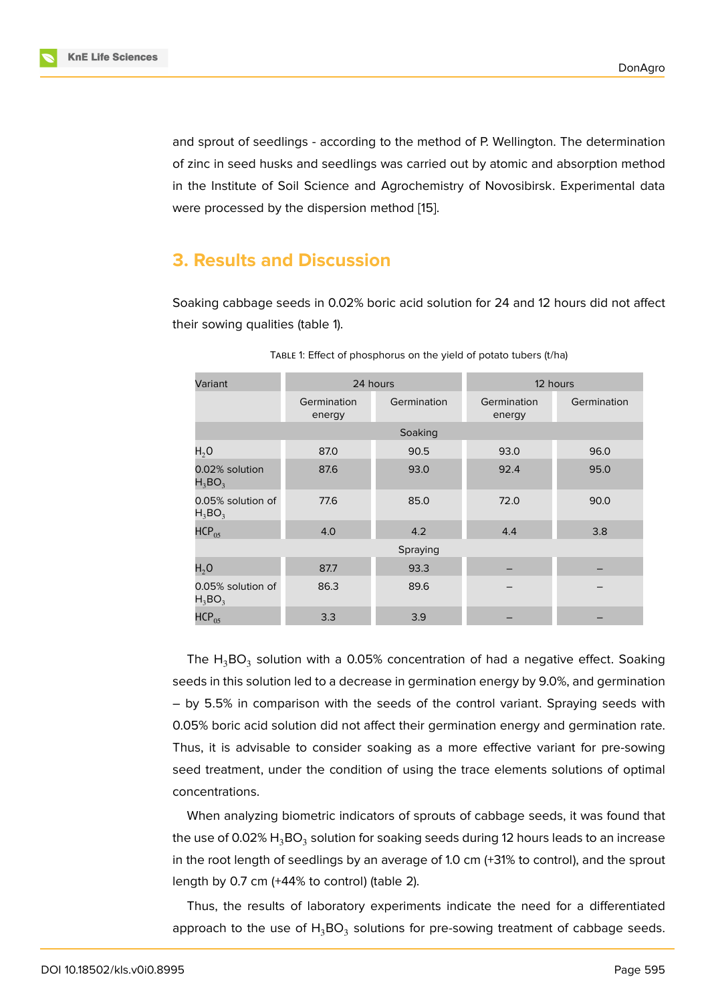and sprout of seedlings - according to the method of P. Wellington. The determination of zinc in seed husks and seedlings was carried out by atomic and absorption method in the Institute of Soil Science and Agrochemistry of Novosibirsk. Experimental data were processed by the dispersion method [15].

## **3. Results and Discussion**

Soaking cabbage seeds in 0.02% boric acid solution for 24 and 12 hours did not affect their sowing qualities (table 1).

| Variant                        | 24 hours              |             | 12 hours              |             |
|--------------------------------|-----------------------|-------------|-----------------------|-------------|
|                                | Germination<br>energy | Germination | Germination<br>energy | Germination |
|                                |                       | Soaking     |                       |             |
| H <sub>2</sub> O               | 87.0                  | 90.5        | 93.0                  | 96.0        |
| 0.02% solution<br>$H_3BO_3$    | 87.6                  | 93.0        | 92.4                  | 95.0        |
| 0.05% solution of<br>$H_3BO_3$ | 77.6                  | 85.0        | 72.0                  | 90.0        |
| HCP <sub>05</sub>              | 4.0                   | 4.2         | 4.4                   | 3.8         |
| Spraying                       |                       |             |                       |             |
| H <sub>2</sub> O               | 87.7                  | 93.3        |                       |             |
| 0.05% solution of<br>$H_3BO_3$ | 86.3                  | 89.6        |                       |             |
| $HCP_{05}$                     | 3.3                   | 3.9         |                       |             |

TABLE 1: Effect of phosphorus on the yield of potato tubers (t/ha)

The  ${\sf H_3BO_3}$  solution with a 0.05% concentration of had a negative effect. Soaking seeds in this solution led to a decrease in germination energy by 9.0%, and germination – by 5.5% in comparison with the seeds of the control variant. Spraying seeds with 0.05% boric acid solution did not affect their germination energy and germination rate. Thus, it is advisable to consider soaking as a more effective variant for pre-sowing seed treatment, under the condition of using the trace elements solutions of optimal concentrations.

When analyzing biometric indicators of sprouts of cabbage seeds, it was found that the use of 0.02%  ${\sf H_3BO_3}$  solution for soaking seeds during 12 hours leads to an increase in the root length of seedlings by an average of 1.0 cm (+31% to control), and the sprout length by 0.7 cm (+44% to control) (table 2).

Thus, the results of laboratory experiments indicate the need for a differentiated approach to the use of  ${\sf H_3BO_3}$  solutions for pre-sowing treatment of cabbage seeds.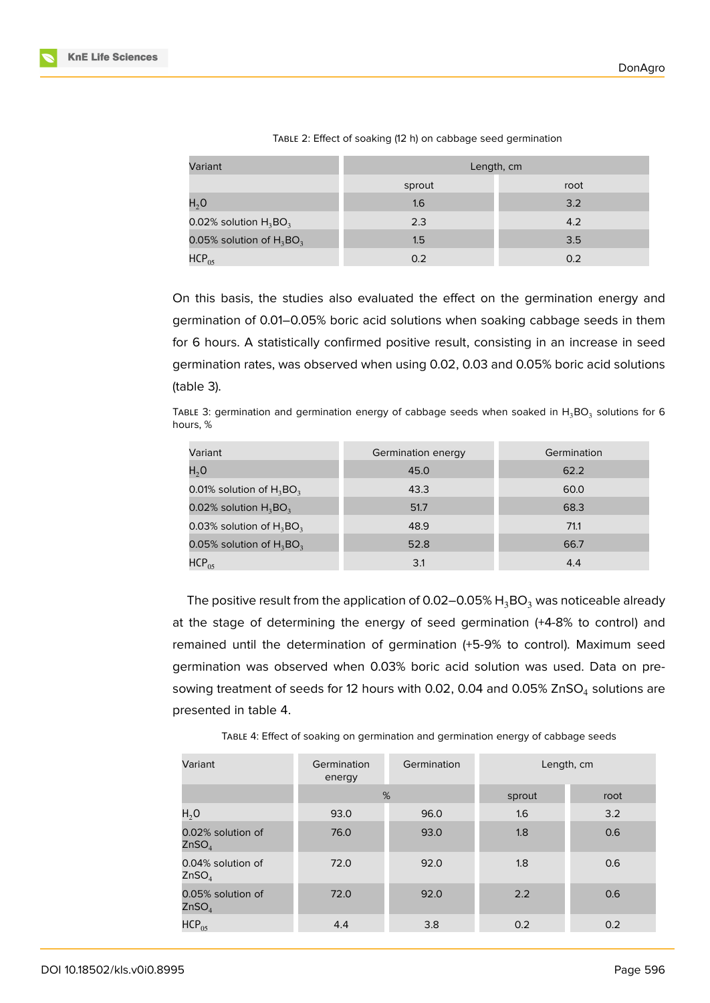| Variant                     | Length, cm |      |  |
|-----------------------------|------------|------|--|
|                             | sprout     | root |  |
| $H_2O$                      | 1.6        | 3.2  |  |
| 0.02% solution $H_3BO_3$    | 2.3        | 4.2  |  |
| 0.05% solution of $H_3BO_3$ | 1.5        | 3.5  |  |
| $HCP_{05}$                  | 0.2        | 0.2  |  |

TABLE 2: Effect of soaking (12 h) on cabbage seed germination

On this basis, the studies also evaluated the effect on the germination energy and germination of 0.01–0.05% boric acid solutions when soaking cabbage seeds in them for 6 hours. A statistically confirmed positive result, consisting in an increase in seed germination rates, was observed when using 0.02, 0.03 and 0.05% boric acid solutions (table 3).

TABLE 3: germination and germination energy of cabbage seeds when soaked in  ${\sf H_3BO_3}$  solutions for 6 hours, %

| Variant                     | Germination energy | Germination |
|-----------------------------|--------------------|-------------|
| H <sub>2</sub> O            | 45.0               | 62.2        |
| 0.01% solution of $H_3BO_3$ | 43.3               | 60.0        |
| 0.02% solution $H_3BO_3$    | 51.7               | 68.3        |
| 0.03% solution of $H_3BO_3$ | 48.9               | 71.1        |
| 0.05% solution of $H_3BO_3$ | 52.8               | 66.7        |
| $HCP_{05}$                  | 3.1                | 4.4         |

The positive result from the application of 0.02–0.05%  $H_3BO_3$  was noticeable already at the stage of determining the energy of seed germination (+4-8% to control) and remained until the determination of germination (+5-9% to control). Maximum seed germination was observed when 0.03% boric acid solution was used. Data on presowing treatment of seeds for 12 hours with 0.02, 0.04 and 0.05% ZnSO $_4$  solutions are presented in table 4.

| Variant                                | Germination<br>energy | Germination | Length, cm |      |
|----------------------------------------|-----------------------|-------------|------------|------|
|                                        | %                     |             | sprout     | root |
| H <sub>2</sub> O                       | 93.0                  | 96.0        | 1.6        | 3.2  |
| 0.02% solution of<br>ZnSO <sub>4</sub> | 76.0                  | 93.0        | 1.8        | 0.6  |
| 0.04% solution of<br>ZnSO <sub>4</sub> | 72.0                  | 92.0        | 1.8        | 0.6  |
| 0.05% solution of<br>ZnSO <sub>4</sub> | 72.0                  | 92.0        | 2.2        | 0.6  |
| $HCP_{05}$                             | 4.4                   | 3.8         | 0.2        | 0.2  |

TABLE 4: Effect of soaking on germination and germination energy of cabbage seeds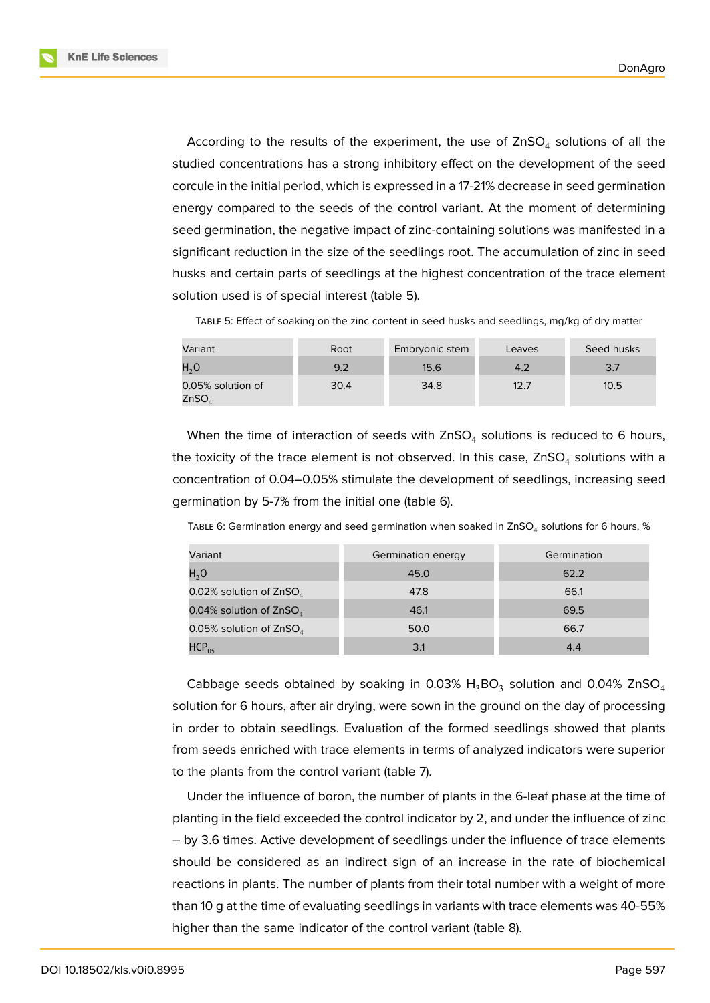**KnE Life Sciences** 



According to the results of the experiment, the use of  $\text{ZnSO}_4$  solutions of all the studied concentrations has a strong inhibitory effect on the development of the seed corcule in the initial period, which is expressed in a 17-21% decrease in seed germination energy compared to the seeds of the control variant. At the moment of determining seed germination, the negative impact of zinc-containing solutions was manifested in a significant reduction in the size of the seedlings root. The accumulation of zinc in seed husks and certain parts of seedlings at the highest concentration of the trace element solution used is of special interest (table 5).

TABLE 5: Effect of soaking on the zinc content in seed husks and seedlings, mg/kg of dry matter

| Variant                                | Root | Embryonic stem | Leaves | Seed husks |
|----------------------------------------|------|----------------|--------|------------|
| H <sub>2</sub> O                       | 9.2  | 15.6           | 4.2    | 3.7        |
| 0.05% solution of<br>ZnSO <sub>4</sub> | 30.4 | 34.8           | 12.7   | 10.5       |

When the time of interaction of seeds with  $\mathsf{ZnSO}_4$  solutions is reduced to 6 hours, the toxicity of the trace element is not observed. In this case,  $\mathsf{ZnSO}_4$  solutions with a concentration of 0.04–0.05% stimulate the development of seedlings, increasing seed germination by 5-7% from the initial one (table 6).

| Variant                   | Germination energy | Germination |
|---------------------------|--------------------|-------------|
| H <sub>2</sub> O          | 45.0               | 62.2        |
| 0.02% solution of $ZnSO4$ | 47.8               | 66.1        |
| 0.04% solution of $ZnSO4$ | 46.1               | 69.5        |
| 0.05% solution of $ZnSO4$ | 50.0               | 66.7        |
| $HCP_{05}$                | 3.1                | 4.4         |

Cabbage seeds obtained by soaking in 0.03%  $H_3BO_3$  solution and 0.04% ZnSO<sub>4</sub> solution for 6 hours, after air drying, were sown in the ground on the day of processing in order to obtain seedlings. Evaluation of the formed seedlings showed that plants from seeds enriched with trace elements in terms of analyzed indicators were superior to the plants from the control variant (table 7).

Under the influence of boron, the number of plants in the 6-leaf phase at the time of planting in the field exceeded the control indicator by 2, and under the influence of zinc – by 3.6 times. Active development of seedlings under the influence of trace elements should be considered as an indirect sign of an increase in the rate of biochemical reactions in plants. The number of plants from their total number with a weight of more than 10 g at the time of evaluating seedlings in variants with trace elements was 40-55% higher than the same indicator of the control variant (table 8).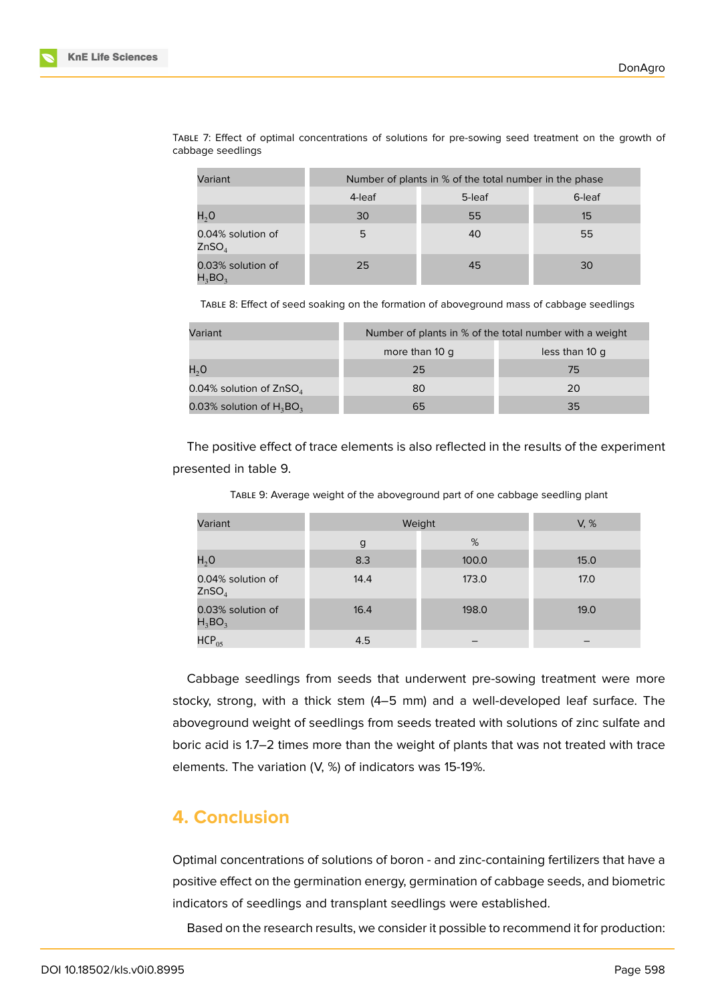

| Variant                                | Number of plants in % of the total number in the phase |        |        |
|----------------------------------------|--------------------------------------------------------|--------|--------|
|                                        | 4-leaf                                                 | 5-leaf | 6-leaf |
| H <sub>2</sub> O                       | 30                                                     | 55     | 15     |
| 0.04% solution of<br>ZnSO <sub>4</sub> | 5                                                      | 40     | 55     |
| 0.03% solution of<br>$H_3BO_2$         | 25                                                     | 45     | 30     |

TABLE 7: Effect of optimal concentrations of solutions for pre-sowing seed treatment on the growth of cabbage seedlings

TABLE 8: Effect of seed soaking on the formation of aboveground mass of cabbage seedlings

| Variant                     | Number of plants in % of the total number with a weight |                |  |
|-----------------------------|---------------------------------------------------------|----------------|--|
|                             | more than 10 q                                          | less than 10 q |  |
| $H_2O$                      | 25                                                      | 75             |  |
| 0.04% solution of ZnSO $_4$ | 80                                                      | 20             |  |
| 0.03% solution of $H_3BO_3$ | 65                                                      | 35             |  |

The positive effect of trace elements is also reflected in the results of the experiment presented in table 9.

| Variant                                | Weight | V, %  |      |
|----------------------------------------|--------|-------|------|
|                                        | g      | %     |      |
| $H_2O$                                 | 8.3    | 100.0 | 15.0 |
| 0.04% solution of<br>ZnSO <sub>4</sub> | 14.4   | 173.0 | 17.0 |
| 0.03% solution of<br>$H_3BO_3$         | 16.4   | 198.0 | 19.0 |
| $HCP_{05}$                             | 4.5    |       |      |

TABLE 9: Average weight of the aboveground part of one cabbage seedling plant

Cabbage seedlings from seeds that underwent pre-sowing treatment were more stocky, strong, with a thick stem (4–5 mm) and a well-developed leaf surface. The aboveground weight of seedlings from seeds treated with solutions of zinc sulfate and boric acid is 1.7–2 times more than the weight of plants that was not treated with trace elements. The variation (V, %) of indicators was 15-19%.

# **4. Conclusion**

Optimal concentrations of solutions of boron - and zinc-containing fertilizers that have a positive effect on the germination energy, germination of cabbage seeds, and biometric indicators of seedlings and transplant seedlings were established.

Based on the research results, we consider it possible to recommend it for production: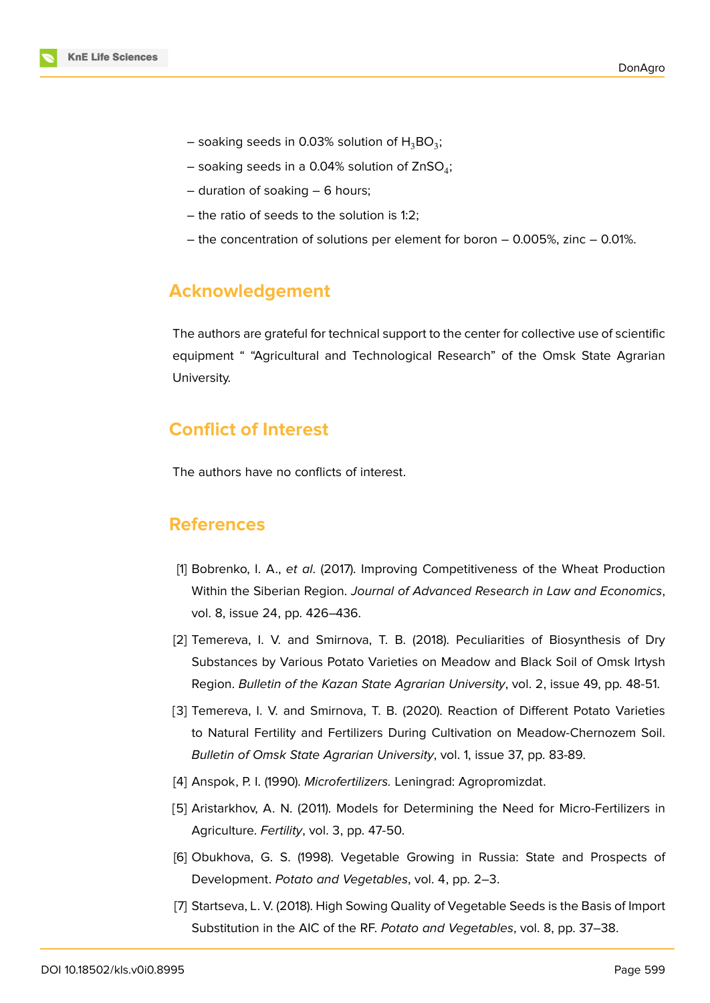- soaking seeds in 0.03% solution of  ${\sf H_3BO_3;}$
- soaking seeds in a 0.04% solution of ZnSO $_4^;$
- duration of soaking 6 hours;
- the ratio of seeds to the solution is 1:2;
- the concentration of solutions per element for boron 0.005%, zinc 0.01%.

# **Acknowledgement**

The authors are grateful for technical support to the center for collective use of scientific equipment " "Agricultural and Technological Research" of the Omsk State Agrarian University.

# **Conflict of Interest**

The authors have no conflicts of interest.

## **References**

- [1] Bobrenko, I. A., *et al*. (2017). Improving Competitiveness of the Wheat Production Within the Siberian Region. *Journal of Advanced Research in Law and Economics*, vol. 8, issue 24, pp. 426–436.
- [2] Temereva, I. V. and Smirnova, T. B. (2018). Peculiarities of Biosynthesis of Dry Substances by Various Potato Varieties on Meadow and Black Soil of Omsk Irtysh Region. *Bulletin of the Kazan State Agrarian University*, vol. 2, issue 49, pp. 48-51.
- [3] Temereva, I. V. and Smirnova, T. B. (2020). Reaction of Different Potato Varieties to Natural Fertility and Fertilizers During Cultivation on Meadow-Chernozem Soil. *Bulletin of Omsk State Agrarian University*, vol. 1, issue 37, pp. 83-89.
- <span id="page-6-0"></span>[4] Anspok, P. I. (1990). *Microfertilizers.* Leningrad: Agropromizdat.
- <span id="page-6-1"></span>[5] Aristarkhov, A. N. (2011). Models for Determining the Need for Micro-Fertilizers in Agriculture. *Fertility*, vol. 3, pp. 47-50.
- <span id="page-6-2"></span>[6] Obukhova, G. S. (1998). Vegetable Growing in Russia: State and Prospects of Development. *Potato and Vegetables*, vol. 4, pp. 2–3.
- <span id="page-6-3"></span>[7] Startseva, L. V. (2018). High Sowing Quality of Vegetable Seeds is the Basis of Import Substitution in the AIC of the RF. *Potato and Vegetables*, vol. 8, pp. 37–38.